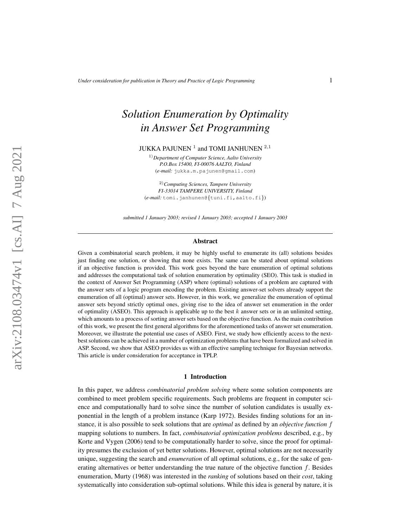# *Solution Enumeration by Optimality in Answer Set Programming*

# JUKKA PAJUNEN  $^1$  and TOMI JANHUNEN  $^{2,1}$

1)*Department of Computer Science, Aalto University P.O.Box 15400, FI-00076 AALTO, Finland* (*e-mail:* jukka.m.pajunen@gmail.com)

2)*Computing Sciences, Tampere University FI-33014 TAMPERE UNIVERSITY, Finland* (*e-mail:* tomi.janhunen@{tuni.fi,aalto.fi})

*submitted 1 January 2003; revised 1 January 2003; accepted 1 January 2003*

#### Abstract

Given a combinatorial search problem, it may be highly useful to enumerate its (all) solutions besides just finding one solution, or showing that none exists. The same can be stated about optimal solutions if an objective function is provided. This work goes beyond the bare enumeration of optimal solutions and addresses the computational task of solution enumeration by optimality (SEO). This task is studied in the context of Answer Set Programming (ASP) where (optimal) solutions of a problem are captured with the answer sets of a logic program encoding the problem. Existing answer-set solvers already support the enumeration of all (optimal) answer sets. However, in this work, we generalize the enumeration of optimal answer sets beyond strictly optimal ones, giving rise to the idea of answer set enumeration in the order of optimality (ASEO). This approach is applicable up to the best  $k$  answer sets or in an unlimited setting, which amounts to a process of sorting answer sets based on the objective function. As the main contribution of this work, we present the first general algorithms for the aforementioned tasks of answer set enumeration. Moreover, we illustrate the potential use cases of ASEO. First, we study how efficiently access to the nextbest solutions can be achieved in a number of optimization problems that have been formalized and solved in ASP. Second, we show that ASEO provides us with an effective sampling technique for Bayesian networks. This article is under consideration for acceptance in TPLP.

#### 1 Introduction

In this paper, we address *combinatorial problem solving* where some solution components are combined to meet problem specific requirements. Such problems are frequent in computer science and computationally hard to solve since the number of solution candidates is usually exponential in the length of a problem instance [\(Karp 1972\)](#page-15-0). Besides finding solutions for an instance, it is also possible to seek solutions that are *optimal* as defined by an *objective function* f mapping solutions to numbers. In fact, *combinatorial optimization problems* described, e.g., by Korte and Vygen [\(2006\)](#page-15-1) tend to be computationally harder to solve, since the proof for optimality presumes the exclusion of yet better solutions. However, optimal solutions are not necessarily unique, suggesting the search and *enumeration* of all optimal solutions, e.g., for the sake of generating alternatives or better understanding the true nature of the objective function  $f$ . Besides enumeration, Murty [\(1968\)](#page-15-2) was interested in the *ranking* of solutions based on their *cost*, taking systematically into consideration sub-optimal solutions. While this idea is general by nature, it is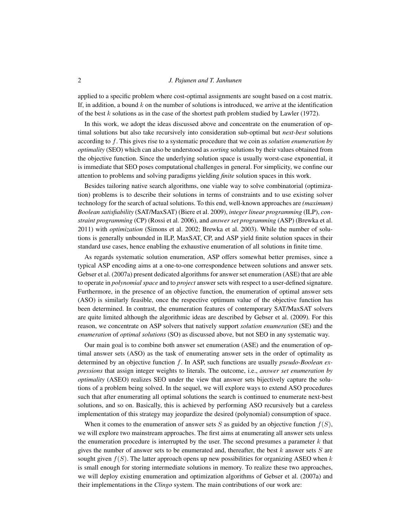applied to a specific problem where cost-optimal assignments are sought based on a cost matrix. If, in addition, a bound  $k$  on the number of solutions is introduced, we arrive at the identification of the best  $k$  solutions as in the case of the shortest path problem studied by Lawler [\(1972\)](#page-15-3).

In this work, we adopt the ideas discussed above and concentrate on the enumeration of optimal solutions but also take recursively into consideration sub-optimal but *next-best* solutions according to f. This gives rise to a systematic procedure that we coin as *solution enumeration by optimality* (SEO) which can also be understood as *sorting* solutions by their values obtained from the objective function. Since the underlying solution space is usually worst-case exponential, it is immediate that SEO poses computational challenges in general. For simplicity, we confine our attention to problems and solving paradigms yielding *finite* solution spaces in this work.

Besides tailoring native search algorithms, one viable way to solve combinatorial (optimization) problems is to describe their solutions in terms of constraints and to use existing solver technology for the search of actual solutions. To this end, well-known approaches are *(maximum) Boolean satisfiability* (SAT/MaxSAT) [\(Biere et al. 2009\)](#page-14-0), *integer linear programming* (ILP), *constraint programming* (CP) [\(Rossi et al. 2006\)](#page-15-4), and *answer set programming* (ASP) [\(Brewka et al.](#page-15-5) [2011\)](#page-15-5) with *optimization* [\(Simons et al. 2002;](#page-15-6) [Brewka et al. 2003\)](#page-15-7). While the number of solutions is generally unbounded in ILP, MaxSAT, CP, and ASP yield finite solution spaces in their standard use cases, hence enabling the exhaustive enumeration of all solutions in finite time.

As regards systematic solution enumeration, ASP offers somewhat better premises, since a typical ASP encoding aims at a one-to-one correspondence between solutions and answer sets. Gebser et al. [\(2007a\)](#page-15-8) present dedicated algorithms for answer set enumeration (ASE) that are able to operate in *polynomial space* and to *project* answer sets with respect to a user-defined signature. Furthermore, in the presence of an objective function, the enumeration of optimal answer sets (ASO) is similarly feasible, once the respective optimum value of the objective function has been determined. In contrast, the enumeration features of contemporary SAT/MaxSAT solvers are quite limited although the algorithmic ideas are described by Gebser et al. [\(2009\)](#page-15-9). For this reason, we concentrate on ASP solvers that natively support *solution enumeration* (SE) and the *enumeration* of *optimal solutions* (SO) as discussed above, but not SEO in any systematic way.

Our main goal is to combine both answer set enumeration (ASE) and the enumeration of optimal answer sets (ASO) as the task of enumerating answer sets in the order of optimality as determined by an objective function f. In ASP, such functions are usually *pseudo-Boolean expressions* that assign integer weights to literals. The outcome, i.e., *answer set enumeration by optimality* (ASEO) realizes SEO under the view that answer sets bijectively capture the solutions of a problem being solved. In the sequel, we will explore ways to extend ASO procedures such that after enumerating all optimal solutions the search is continued to enumerate next-best solutions, and so on. Basically, this is achieved by performing ASO recursively but a careless implementation of this strategy may jeopardize the desired (polynomial) consumption of space.

When it comes to the enumeration of answer sets S as guided by an objective function  $f(S)$ , we will explore two mainstream approaches. The first aims at enumerating all answer sets unless the enumeration procedure is interrupted by the user. The second presumes a parameter  $k$  that gives the number of answer sets to be enumerated and, thereafter, the best  $k$  answer sets  $S$  are sought given  $f(S)$ . The latter approach opens up new possibilities for organizing ASEO when k is small enough for storing intermediate solutions in memory. To realize these two approaches, we will deploy existing enumeration and optimization algorithms of Gebser et al. [\(2007a\)](#page-15-8) and their implementations in the *Clingo* system. The main contributions of our work are: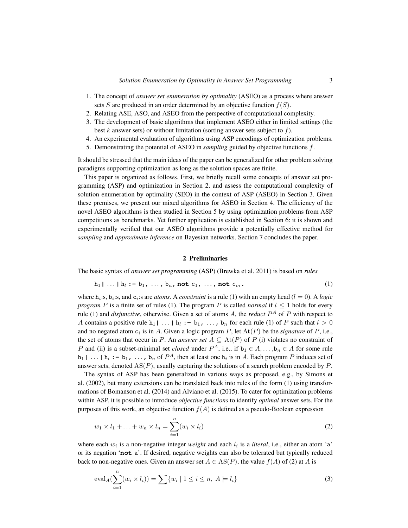- 1. The concept of *answer set enumeration by optimality* (ASEO) as a process where answer sets S are produced in an order determined by an objective function  $f(S)$ .
- 2. Relating ASE, ASO, and ASEO from the perspective of computational complexity.
- 3. The development of basic algorithms that implement ASEO either in limited settings (the best k answer sets) or without limitation (sorting answer sets subject to  $f$ ).
- 4. An experimental evaluation of algorithms using ASP encodings of optimization problems.
- 5. Demonstrating the potential of ASEO in *sampling* guided by objective functions f.

It should be stressed that the main ideas of the paper can be generalized for other problem solving paradigms supporting optimization as long as the solution spaces are finite.

This paper is organized as follows. First, we briefly recall some concepts of answer set programming (ASP) and optimization in Section [2,](#page-2-0) and assess the computational complexity of solution enumeration by optimality (SEO) in the context of ASP (ASEO) in Section [3.](#page-3-0) Given these premises, we present our mixed algorithms for ASEO in Section [4.](#page-5-0) The efficiency of the novel ASEO algorithms is then studied in Section [5](#page-9-0) by using optimization problems from ASP competitions as benchmarks. Yet further application is established in Section [6:](#page-11-0) it is shown and experimentally verified that our ASEO algorithms provide a potentially effective method for *sampling* and *approximate inference* on Bayesian networks. Section [7](#page-13-0) concludes the paper.

#### <span id="page-2-2"></span><span id="page-2-1"></span>2 Preliminaries

<span id="page-2-0"></span>The basic syntax of *answer set programming* (ASP) [\(Brewka et al. 2011\)](#page-15-5) is based on *rules*

$$
h_1 | \ldots | h_l := b_1, \ldots, b_n, \text{ not } c_1, \ldots, \text{ not } c_m.
$$
 (1)

where  $h_i$ :s,  $b_i$ :s, and  $c_i$ :s are *atoms*. A *constraint* is a rule [\(1\)](#page-2-1) with an empty head ( $l = 0$ ). A *logic program* P is a finite set of rules [\(1\)](#page-2-1). The program P is called *normal* if  $l < 1$  holds for every rule [\(1\)](#page-2-1) and *disjunctive*, otherwise. Given a set of atoms A, the *reduct* P <sup>A</sup> of P with respect to A contains a positive rule h<sub>1</sub> | ... | h<sub>i</sub> :- b<sub>1</sub>, ..., b<sub>n</sub> for each rule [\(1\)](#page-2-1) of P such that  $l > 0$ and no negated atom  $c_i$  is in A. Given a logic program P, let  $At(P)$  be the *signature* of P, i.e., the set of atoms that occur in P. An *answer set*  $A \subseteq \text{At}(P)$  of P (i) violates no constraint of P and (ii) is a subset-minimal set *closed* under  $P^A$ , i.e., if  $b_1 \in A, \ldots, b_n \in A$  for some rule  $h_1$  | ... |  $h_l$  : -  $h_1$ , ...,  $h_n$  of  $P^A$ , then at least one  $h_i$  is in A. Each program P induces set of answer sets, denoted  $AS(P)$ , usually capturing the solutions of a search problem encoded by  $P$ .

The syntax of ASP has been generalized in various ways as proposed, e.g., by Simons et al. [\(2002\)](#page-15-6), but many extensions can be translated back into rules of the form [\(1\)](#page-2-1) using transformations of Bomanson et al. [\(2014\)](#page-14-1) and Alviano et al. [\(2015\)](#page-14-2). To cater for optimization problems within ASP, it is possible to introduce *objective functions* to identify *optimal* answer sets. For the purposes of this work, an objective function  $f(A)$  is defined as a pseudo-Boolean expression

$$
w_1 \times l_1 + \ldots + w_n \times l_n = \sum_{i=1}^n (w_i \times l_i)
$$
 (2)

where each  $w_i$  is a non-negative integer *weight* and each  $l_i$  is a *literal*, i.e., either an atom 'a' or its negation '**not** a'. If desired, negative weights can also be tolerated but typically reduced back to non-negative ones. Given an answer set  $A \in AS(P)$ , the value  $f(A)$  of [\(2\)](#page-2-2) at A is

<span id="page-2-3"></span>
$$
\mathrm{eval}_{A}(\sum_{i=1}^{n}(w_{i} \times l_{i})) = \sum \{w_{i} \mid 1 \leq i \leq n, A \models l_{i}\}\tag{3}
$$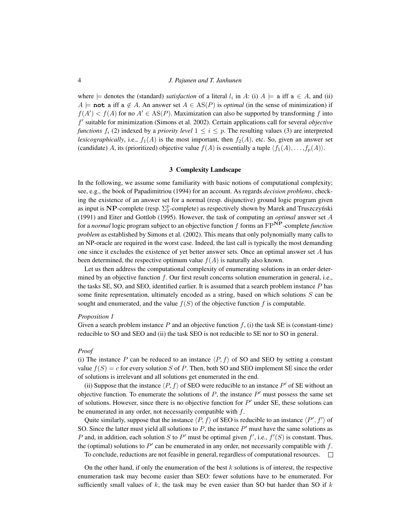where  $\models$  denotes the (standard) *satisfaction* of a literal  $l_i$  in A: (i)  $A \models$  a iff  $a \in A$ , and (ii)  $A \models \textbf{not}$  a iff a  $\notin A$ . An answer set  $A \in \text{AS}(P)$  is *optimal* (in the sense of minimization) if  $f(A') < f(A)$  for no  $A' \in AS(P)$ . Maximization can also be supported by transforming f into f 0 suitable for minimization [\(Simons et al. 2002\)](#page-15-6). Certain applications call for several *objective functions*  $f_i$  [\(2\)](#page-2-2) indexed by a *priority level*  $1 \leq i \leq p$ . The resulting values [\(3\)](#page-2-3) are interpreted *lexicographically*, i.e.,  $f_1(A)$  is the most important, then  $f_2(A)$ , etc. So, given an answer set (candidate) A, its (prioritized) objective value  $f(A)$  is essentially a tuple  $\langle f_1(A), \ldots, f_p(A) \rangle$ .

#### 3 Complexity Landscape

<span id="page-3-0"></span>In the following, we assume some familiarity with basic notions of computational complexity; see, e.g., the book of Papadimitriou [\(1994\)](#page-15-10) for an account. As regards *decision problems*, checking the existence of an answer set for a normal (resp. disjunctive) ground logic program given as input is NP-complete (resp.  $\Sigma_2^{\rm p}$ -complete) as respectively shown by Marek and Truszczyński [\(1991\)](#page-15-11) and Eiter and Gottlob [\(1995\)](#page-15-12). However, the task of computing an *optimal* answer set A for a *normal* logic program subject to an objective function f forms an FPNP-complete *function problem* as established by Simons et al. [\(2002\)](#page-15-6). This means that only polynomially many calls to an NP-oracle are required in the worst case. Indeed, the last call is typically the most demanding one since it excludes the existence of yet better answer sets. Once an optimal answer set A has been determined, the respective optimum value  $f(A)$  is naturally also known.

Let us then address the computational complexity of enumerating solutions in an order determined by an objective function  $f$ . Our first result concerns solution enumeration in general, i.e., the tasks SE, SO, and SEO, identified earlier. It is assumed that a search problem instance P has some finite representation, ultimately encoded as a string, based on which solutions  $S$  can be sought and enumerated, and the value  $f(S)$  of the objective function f is computable.

#### <span id="page-3-1"></span>*Proposition 1*

Given a search problem instance  $P$  and an objective function  $f$ , (i) the task SE is (constant-time) reducible to SO and SEO and (ii) the task SEO is not reducible to SE nor to SO in general.

## *Proof*

(i) The instance P can be reduced to an instance  $\langle P, f \rangle$  of SO and SEO by setting a constant value  $f(S) = c$  for every solution S of P. Then, both SO and SEO implement SE since the order of solutions is irrelevant and all solutions get enumerated in the end.

(ii) Suppose that the instance  $\langle P, f \rangle$  of SEO were reducible to an instance  $P'$  of SE without an objective function. To enumerate the solutions of  $P$ , the instance  $P'$  must possess the same set of solutions. However, since there is no objective function for  $P'$  under SE, these solutions can be enumerated in any order, not necessarily compatible with f.

Quite similarly, suppose that the instance  $\langle P, f \rangle$  of SEO is reducible to an instance  $\langle P', f' \rangle$  of SO. Since the latter must yield all solutions to  $P$ , the instance  $P'$  must have the same solutions as P and, in addition, each solution S to P' must be optimal given  $f'$ , i.e.,  $f'(S)$  is constant. Thus, the (optimal) solutions to  $P'$  can be enumerated in any order, not necessarily compatible with  $f$ .

To conclude, reductions are not feasible in general, regardless of computational resources.

On the other hand, if only the enumeration of the best  $k$  solutions is of interest, the respective enumeration task may become easier than SEO: fewer solutions have to be enumerated. For sufficiently small values of  $k$ , the task may be even easier than SO but harder than SO if  $k$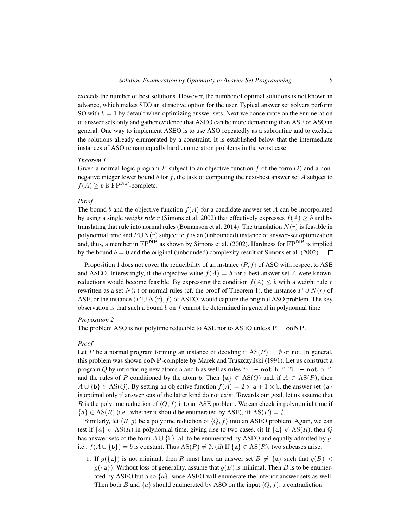exceeds the number of best solutions. However, the number of optimal solutions is not known in advance, which makes SEO an attractive option for the user. Typical answer set solvers perform SO with  $k = 1$  by default when optimizing answer sets. Next we concentrate on the enumeration of answer sets only and gather evidence that ASEO can be more demanding than ASE or ASO in general. One way to implement ASEO is to use ASO repeatedly as a subroutine and to exclude the solutions already enumerated by a constraint. It is established below that the intermediate instances of ASO remain equally hard enumeration problems in the worst case.

## <span id="page-4-0"></span>*Theorem 1*

Given a normal logic program  $P$  subject to an objective function  $f$  of the form [\(2\)](#page-2-2) and a nonnegative integer lower bound b for  $f$ , the task of computing the next-best answer set  $A$  subject to  $f(A) \ge b$  is FP<sup>NP</sup>-complete.

# *Proof*

The bound b and the objective function  $f(A)$  for a candidate answer set A can be incorporated by using a single *weight rule* r [\(Simons et al. 2002\)](#page-15-6) that effectively expresses  $f(A) \geq b$  and by translating that rule into normal rules [\(Bomanson et al. 2014\)](#page-14-1). The translation  $N(r)$  is feasible in polynomial time and  $P \cup N(r)$  subject to f is an (unbounded) instance of answer-set optimization and, thus, a member in  $FP^{\overrightarrow{NP}}$  as shown by Simons et al. [\(2002\)](#page-15-6). Hardness for  $FP^{\overrightarrow{NP}}$  is implied by the bound  $b = 0$  and the original (unbounded) complexity result of Simons et al. [\(2002\)](#page-15-6).  $\Box$ 

Proposition [1](#page-3-1) does not cover the reducibility of an instance  $\langle P, f \rangle$  of ASO with respect to ASE and ASEO. Interestingly, if the objective value  $f(A) = b$  for a best answer set A were known, reductions would become feasible. By expressing the condition  $f(A) \leq b$  with a weight rule r rewritten as a set  $N(r)$  of normal rules (cf. the proof of Theorem [1\)](#page-4-0), the instance  $P \cup N(r)$  of ASE, or the instance  $\langle P \cup N(r), f \rangle$  of ASEO, would capture the original ASO problem. The key observation is that such a bound  $b$  on  $f$  cannot be determined in general in polynomial time.

## *Proposition 2*

The problem ASO is not polytime reducible to ASE nor to ASEO unless  $P = \text{coNP}$ .

## *Proof*

Let P be a normal program forming an instance of deciding if  $AS(P) = \emptyset$  or not. In general, this problem was shown  $coNP$ -complete by Marek and Truszczyński [\(1991\)](#page-15-11). Let us construct a program Q by introducing new atoms a and b as well as rules "a **:- not** b**.**", "b **:- not** a**.**", and the rules of P conditioned by the atom b. Then  ${a} \in AS(Q)$  and, if  $A \in AS(P)$ , then  $A \cup \{b\} \in AS(Q)$ . By setting an objective function  $f(A) = 2 \times a + 1 \times b$ , the answer set  $\{a\}$ is optimal only if answer sets of the latter kind do not exist. Towards our goal, let us assume that R is the polytime reduction of  $\langle Q, f \rangle$  into an ASE problem. We can check in polynomial time if  ${a} \in AS(R)$  (i.e., whether it should be enumerated by ASE), iff  $AS(P) = \emptyset$ .

Similarly, let  $\langle R, g \rangle$  be a polytime reduction of  $\langle Q, f \rangle$  into an ASEO problem. Again, we can test if  $\{a\} \in \text{AS}(R)$  in polynomial time, giving rise to two cases. (i) If  $\{a\} \notin \text{AS}(R)$ , then Q has answer sets of the form  $A \cup \{b\}$ , all to be enumerated by ASEO and equally admitted by q, i.e.,  $f(A \cup \{b\}) = b$  is constant. Thus  $AS(P) \neq \emptyset$ . (ii) If  $\{a\} \in AS(R)$ , two subcases arise:

1. If  $g(\{a\})$  is not minimal, then R must have an answer set  $B \neq \{a\}$  such that  $g(B)$  <  $g({a})$ . Without loss of generality, assume that  $g(B)$  is minimal. Then B is to be enumerated by ASEO but also  $\{a\}$ , since ASEO will enumerate the inferior answer sets as well. Then both B and  $\{a\}$  should enumerated by ASO on the input  $\langle Q, f \rangle$ , a contradiction.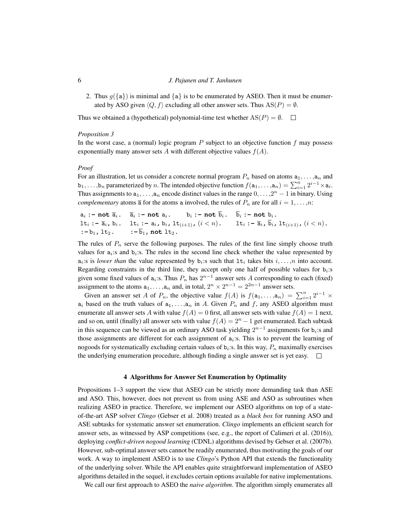2. Thus  $q(\{a\})$  is minimal and  $\{a\}$  is to be enumerated by ASEO. Then it must be enumerated by ASO given  $\langle Q, f \rangle$  excluding all other answer sets. Thus AS(P) =  $\emptyset$ .

Thus we obtained a (hypothetical) polynomial-time test whether  $AS(P) = \emptyset$ .

#### <span id="page-5-1"></span>*Proposition 3*

In the worst case, a (normal) logic program  $P$  subject to an objective function  $f$  may possess exponentially many answer sets A with different objective values  $f(A)$ .

#### *Proof*

For an illustration, let us consider a concrete normal program  $P_n$  based on atoms  $a_1, \ldots, a_n$  and  $b_1, \ldots, b_n$  parameterized by n. The intended objective function  $f(a_1, \ldots, a_n) = \sum_{i=1}^n 2^{i-1} \times a_i$ . Thus assignments to  $a_1, \ldots, a_n$  encode distinct values in the range  $0, \ldots, 2^n - 1$  in binary. Using *complementary* atoms  $\bar{a}$  for the atoms a involved, the rules of  $P_n$  are for all  $i = 1, \ldots, n$ :

 $a_i$  :- not  $\overline{a}_i$ .  $\overline{a}_i$  :- not  $a_i$ . b<sub>i</sub> :- not  $\overline{b}_i$ .  $\overline{b}_i$  :- not  $b_i$ .  $\mathbf{lt}_i := \overline{\mathbf{a}}_i$ ,  $\mathbf{b}_i$ ,  $\mathbf{lt}_i := \mathbf{a}_i$ ,  $\mathbf{b}_i$ ,  $\mathbf{lt}_{(i+1)}$ ,  $(i < n)$ ,  $\mathbf{lt}_i := \overline{\mathbf{a}}_i$ ,  $\overline{\mathbf{b}}_i$ ,  $\mathbf{lt}_{(i+1)}$ ,  $(i < n)$ .  $:= b_1, 1 t_2. \qquad :-\overline{b}_1, \text{ not } 1 t_2.$ 

The rules of  $P_n$  serve the following purposes. The rules of the first line simply choose truth values for  $a_i$ :s and  $b_i$ :s. The rules in the second line check whether the value represented by  $a_i$ :s is *lower than* the value represented by  $b_i$ :s such that  $\text{lt}_i$  takes bits  $i, \ldots, n$  into account. Regarding constraints in the third line, they accept only one half of possible values for  $b_i$ : given some fixed values of  $a_i$ :s. Thus  $P_n$  has  $2^{n-1}$  answer sets A corresponding to each (fixed) assignment to the atoms  $a_1, \ldots, a_n$  and, in total,  $2^n \times 2^{n-1} = 2^{2n-1}$  answer sets.

Given an answer set A of  $P_n$ , the objective value  $f(A)$  is  $f(a_1, \ldots, a_n) = \sum_{i=1}^n 2^{i-1} \times$  $a_i$  based on the truth values of  $a_1, \ldots, a_n$  in A. Given  $P_n$  and f, any ASEO algorithm must enumerate all answer sets A with value  $f(A) = 0$  first, all answer sets with value  $f(A) = 1$  next, and so on, until (finally) all answer sets with value  $f(A) = 2<sup>n</sup> - 1$  get enumerated. Each subtask in this sequence can be viewed as an ordinary ASO task yielding  $2^{n-1}$  assignments for  $b_i$ :s and those assignments are different for each assignment of  $a_i$ :s. This is to prevent the learning of nogoods for systematically excluding certain values of  $b_i$ :s. In this way,  $P_n$  maximally exercises the underlying enumeration procedure, although finding a single answer set is yet easy.  $\square$ 

#### 4 Algorithms for Answer Set Enumeration by Optimality

<span id="page-5-0"></span>Propositions [1](#page-3-1)[–3](#page-5-1) support the view that ASEO can be strictly more demanding task than ASE and ASO. This, however, does not prevent us from using ASE and ASO as subroutines when realizing ASEO in practice. Therefore, we implement our ASEO algorithms on top of a stateof-the-art ASP solver *Clingo* [\(Gebser et al. 2008\)](#page-15-13) treated as a *black box* for running ASO and ASE subtasks for systematic answer set enumeration. *Clingo* implements an efficient search for answer sets, as witnessed by ASP competitions (see, e.g., the report of Calimeri et al. [\(2016\)](#page-15-14)), deploying *conflict-driven nogood learning* (CDNL) algorithms devised by Gebser et al. [\(2007b\)](#page-15-15). However, sub-optimal answer sets cannot be readily enumerated, thus motivating the goals of our work. A way to implement ASEO is to use *Clingo*'s Python API that extends the functionality of the underlying solver. While the API enables quite straightforward implementation of ASEO algorithms detailed in the sequel, it excludes certain options available for native implementations.

We call our first approach to ASEO the *naive algorithm*. The algorithm simply enumerates all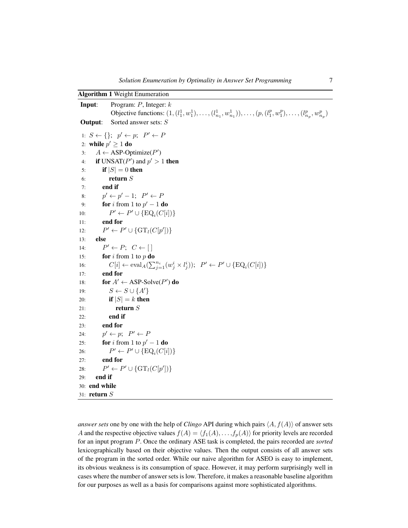<span id="page-6-10"></span><span id="page-6-9"></span><span id="page-6-4"></span><span id="page-6-3"></span><span id="page-6-2"></span><span id="page-6-1"></span><span id="page-6-0"></span>

| <b>Algorithm 1 Weight Enumeration</b>                                                                                                   |
|-----------------------------------------------------------------------------------------------------------------------------------------|
| Program: $P$ , Integer: $k$<br>Input:                                                                                                   |
| Objective functions: $(1, (l_1^1, w_1^1), \ldots, (l_{n_1}^1, w_{n_1}^1)), \ldots, (p, (l_1^p, w_1^p), \ldots, (l_{n_n}^p, w_{n_n}^p))$ |
| Sorted answer sets: S<br>Output:                                                                                                        |
| 1: $S \leftarrow \{\}; p' \leftarrow p; P' \leftarrow P$                                                                                |
| 2: while $p' \geq 1$ do                                                                                                                 |
| $A \leftarrow$ ASP-Optimize( $P'$ )<br>3:                                                                                               |
| <b>if</b> UNSAT( $P'$ ) and $p' > 1$ <b>then</b><br>4:                                                                                  |
| if $ S  = 0$ then<br>5:                                                                                                                 |
| return $S$<br>6:                                                                                                                        |
| end if<br>7:                                                                                                                            |
| $p' \leftarrow p' - 1; \quad P' \leftarrow P$<br>8:                                                                                     |
| for i from 1 to $p' - 1$ do<br>9:                                                                                                       |
| $P' \leftarrow P' \cup {\text{EQ}_i(C[i])}$<br>10:                                                                                      |
| end for<br>11:                                                                                                                          |
| $P' \leftarrow P' \cup {\{ \operatorname{GT}_l(C[p']) \}}$<br>12:                                                                       |
| else<br>13:                                                                                                                             |
| $P' \leftarrow P$ ; $C \leftarrow [$<br>14:                                                                                             |
| for i from 1 to $p$ do<br>15:                                                                                                           |
| $C[i] \leftarrow \text{eval}_{A}(\sum_{j=1}^{n_i} (w_j^i \times l_j^i)); \ \ P' \leftarrow P' \cup \{ \text{EQ}_i(C[i]) \}$<br>16:      |
| end for<br>17:                                                                                                                          |
| for $A' \leftarrow \text{ASP-Solve}(P')$ do<br>18:                                                                                      |
| $S \leftarrow S \cup \{A'\}$<br>19:                                                                                                     |
| if $ S  = k$ then<br>20:                                                                                                                |
| return $S$<br>21:                                                                                                                       |
| end if<br>22:                                                                                                                           |
| end for<br>23:                                                                                                                          |
| $p' \leftarrow p$ ; $P' \leftarrow P$<br>24:                                                                                            |
| <b>for</b> <i>i</i> from 1 to $p' - 1$ <b>do</b><br>25:                                                                                 |
| $P' \leftarrow P' \cup {\text{EQ}_i(C[i])}$<br>26:                                                                                      |
| end for<br>27:                                                                                                                          |
| $P' \leftarrow P' \cup \{ \operatorname{GT}_l(C[p']) \}$<br>28:                                                                         |
| end if<br>29:                                                                                                                           |
| 30: end while                                                                                                                           |
| 31: $return S$                                                                                                                          |

<span id="page-6-8"></span><span id="page-6-7"></span><span id="page-6-6"></span><span id="page-6-5"></span>*answer sets* one by one with the help of *Clingo* API during which pairs  $\langle A, f(A) \rangle$  of answer sets A and the respective objective values  $f(A) = \langle f_1(A), \ldots, f_p(A) \rangle$  for priority levels are recorded for an input program P. Once the ordinary ASE task is completed, the pairs recorded are *sorted* lexicographically based on their objective values. Then the output consists of all answer sets of the program in the sorted order. While our naive algorithm for ASEO is easy to implement, its obvious weakness is its consumption of space. However, it may perform surprisingly well in cases where the number of answer sets is low. Therefore, it makes a reasonable baseline algorithm for our purposes as well as a basis for comparisons against more sophisticated algorithms.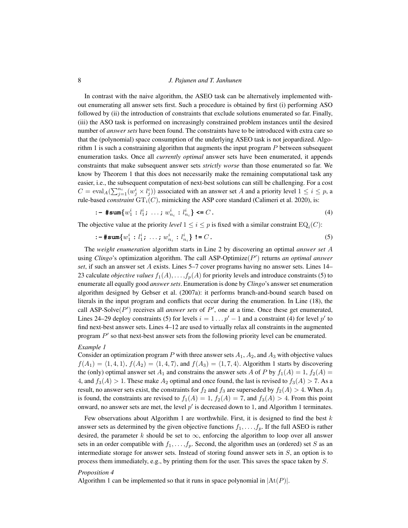In contrast with the naive algorithm, the ASEO task can be alternatively implemented without enumerating all answer sets first. Such a procedure is obtained by first (i) performing ASO followed by (ii) the introduction of constraints that exclude solutions enumerated so far. Finally, (iii) the ASO task is performed on increasingly constrained problem instances until the desired number of *answer sets* have been found. The constraints have to be introduced with extra care so that the (polynomial) space consumption of the underlying ASEO task is not jeopardized. Algo-rithm [1](#page-6-0) is such a constraining algorithm that augments the input program  $P$  between subsequent enumeration tasks. Once all *currently optimal* answer sets have been enumerated, it appends constraints that make subsequent answer sets *strictly worse* than those enumerated so far. We know by Theorem [1](#page-4-0) that this does not necessarily make the remaining computational task any easier, i.e., the subsequent computation of next-best solutions can still be challenging. For a cost  $C = \text{eval}_A(\sum_{j=1}^{n_i} (w_j^i \times l_j^i))$  associated with an answer set A and a priority level  $1 \le i \le p$ , a rule-based *constraint*  $\widetilde{\mathrm{GT}_i(C)}$ , mimicking the ASP core standard [\(Calimeri et al. 2020\)](#page-15-16), is:

<span id="page-7-1"></span><span id="page-7-0"></span>
$$
\mathbf{1} - \# \text{sum}\{w_1^i : l_1^i; \dots; w_{n_i}^i : l_{n_i}^i\} \leq C. \tag{4}
$$

The objective value at the priority *level*  $1 \le i \le p$  is fixed with a similar constraint  $EQ_i(C)$ :

$$
\mathbf{:=} \# \mathbf{sum} \{ w_1^i : l_1^i; \ \ldots \ ; \ w_{n_i}^i : l_{n_i}^i \} \ \mathbf{!=} C \,. \tag{5}
$$

The *weight enumeration* algorithm starts in Line [2](#page-6-1) by discovering an optimal *answer set* A using *Clingo*'s optimization algorithm. The call ASP-Optimize(P') returns an optimal answer *set*, if such an answer set A exists. Lines [5](#page-6-2)[–7](#page-6-3) cover programs having no answer sets. Lines [14–](#page-6-4) [23](#page-6-5) calculate *objective values*  $f_1(A), \ldots, f_p(A)$  for priority levels and introduce constraints [\(5\)](#page-7-0) to enumerate all equally good *answer sets*. Enumeration is done by *Clingo*'s answer set enumeration algorithm designed by Gebser et al. [\(2007a\)](#page-15-8): it performs branch-and-bound search based on literals in the input program and conflicts that occur during the enumeration. In Line [\(18\)](#page-6-6), the call ASP-Solve $(P')$  receives all *answer sets* of  $P'$ , one at a time. Once these get enumerated, Lines [24–](#page-6-7)[29](#page-6-8) deploy constraints [\(5\)](#page-7-0) for levels  $i = 1 \dots p' - 1$  and a constraint [\(4\)](#page-7-1) for level  $p'$  to find next-best answer sets. Lines [4–](#page-6-9)[12](#page-6-10) are used to virtually relax all constraints in the augmented program  $P'$  so that next-best answer sets from the following priority level can be enumerated.

#### *Example 1*

Consider an optimization program P with three answer sets  $A_1$ ,  $A_2$ , and  $A_3$  with objective values  $f(A_1) = \langle 1, 4, 1 \rangle, f(A_2) = \langle 1, 4, 7 \rangle$  $f(A_1) = \langle 1, 4, 1 \rangle, f(A_2) = \langle 1, 4, 7 \rangle$  $f(A_1) = \langle 1, 4, 1 \rangle, f(A_2) = \langle 1, 4, 7 \rangle$ , and  $f(A_3) = \langle 1, 7, 4 \rangle$ . Algorithm 1 starts by discovering the (only) optimal answer set  $A_1$  and constrains the answer sets A of P by  $f_1(A) = 1$ ,  $f_2(A) =$ 4, and  $f_3(A) > 1$ . These make  $A_2$  optimal and once found, the last is revised to  $f_3(A) > 7$ . As a result, no answer sets exist, the constraints for  $f_2$  and  $f_3$  are superseded by  $f_2(A) > 4$ . When  $A_3$ is found, the constraints are revised to  $f_1(A) = 1$ ,  $f_2(A) = 7$ , and  $f_3(A) > 4$ . From this point onward, no answer sets are met, the level  $p'$  is decreased down to [1](#page-6-0), and Algorithm 1 terminates.

Few observations about Algorithm [1](#page-6-0) are worthwhile. First, it is designed to find the best  $k$ answer sets as determined by the given objective functions  $f_1, \ldots, f_p$ . If the full ASEO is rather desired, the parameter k should be set to  $\infty$ , enforcing the algorithm to loop over all answer sets in an order compatible with  $f_1, \ldots, f_p$ . Second, the algorithm uses an (ordered) set S as an intermediate storage for answer sets. Instead of storing found answer sets in S, an option is to process them immediately, e.g., by printing them for the user. This saves the space taken by S.

#### <span id="page-7-2"></span>*Proposition 4*

Algorithm [1](#page-6-0) can be implemented so that it runs in space polynomial in  $|At(P)|$ .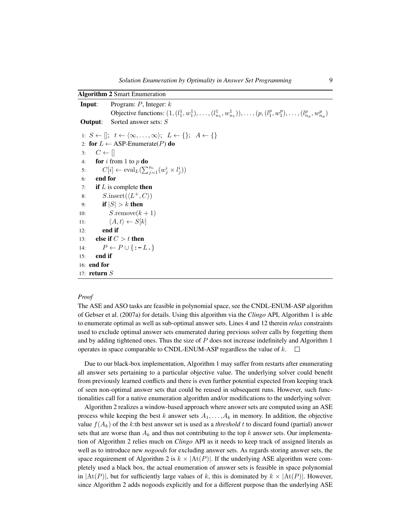<span id="page-8-3"></span><span id="page-8-1"></span><span id="page-8-0"></span>

|                       | <b>Algorithm 2 Smart Enumeration</b>                                                                                                                                                                |
|-----------------------|-----------------------------------------------------------------------------------------------------------------------------------------------------------------------------------------------------|
| Input:                | Program: $P$ , Integer: $k$                                                                                                                                                                         |
|                       | Objective functions: $(1, (l_1^1, w_1^1), \ldots, (l_{n_1}^1, w_{n_1}^1)), \ldots, (p, (l_1^p, w_1^p), \ldots, (l_{n_n}^p, w_{n_n}^p))$                                                             |
| Output:               | Sorted answer sets: $S$                                                                                                                                                                             |
|                       | 1: $S \leftarrow \left[ \left  \begin{array}{cc} t \leftarrow \langle \infty, \ldots, \infty \rangle \\ \end{array} \right  \right]$ $L \leftarrow \left\{ \right\}; A \leftarrow \left\{ \right\}$ |
|                       | 2: for $L \leftarrow$ ASP-Enumerate(P) do                                                                                                                                                           |
| 3:                    | $C \leftarrow \Box$                                                                                                                                                                                 |
| 4:                    | <b>for</b> i from 1 to p <b>do</b>                                                                                                                                                                  |
| 5:                    | $C[i] \leftarrow \text{eval}_{L}(\sum_{i=1}^{n_i} (w_i^i \times l_i^i))$                                                                                                                            |
| 6:                    | end for                                                                                                                                                                                             |
| 7:                    | <b>if</b> $L$ is complete <b>then</b>                                                                                                                                                               |
| 8:                    | $S.\text{insert}(\langle L^+, C \rangle)$                                                                                                                                                           |
| 9:                    | if $ S  > k$ then                                                                                                                                                                                   |
| 10:                   | $S$ .remove $(k+1)$                                                                                                                                                                                 |
| 11:                   | $\langle A, t \rangle \leftarrow S[k]$                                                                                                                                                              |
| 12:                   | end if                                                                                                                                                                                              |
| 13:                   | else if $C > t$ then                                                                                                                                                                                |
| 14:                   | $P \leftarrow P \cup \{:-L.\}$                                                                                                                                                                      |
| 15:                   | end if                                                                                                                                                                                              |
| $16:$ end for         |                                                                                                                                                                                                     |
| 17: <b>return</b> $S$ |                                                                                                                                                                                                     |

# <span id="page-8-6"></span><span id="page-8-5"></span><span id="page-8-4"></span><span id="page-8-2"></span>*Proof*

The ASE and ASO tasks are feasible in polynomial space, see the CNDL-ENUM-ASP algorithm of Gebser et al. [\(2007a\)](#page-15-8) for details. Using this algorithm via the *Clingo* API, Algorithm [1](#page-6-0) is able to enumerate optimal as well as sub-optimal answer sets. Lines [4](#page-6-9) and [12](#page-6-10) therein *relax* constraints used to exclude optimal answer sets enumerated during previous solver calls by forgetting them and by adding tightened ones. Thus the size of  $P$  does not increase indefinitely and Algorithm [1](#page-6-0) operates in space comparable to CNDL-ENUM-ASP regardless the value of  $k$ .  $\Box$ 

Due to our black-box implementation, Algorithm [1](#page-6-0) may suffer from restarts after enumerating all answer sets pertaining to a particular objective value. The underlying solver could benefit from previously learned conflicts and there is even further potential expected from keeping track of seen non-optimal answer sets that could be reused in subsequent runs. However, such functionalities call for a native enumeration algorithm and/or modifications to the underlying solver.

Algorithm [2](#page-8-0) realizes a window-based approach where answer sets are computed using an ASE process while keeping the best k answer sets  $A_1, \ldots, A_k$  in memory. In addition, the objective value  $f(A_k)$  of the k:th best answer set is used as a *threshold* t to discard found (partial) answer sets that are worse than  $A_k$  and thus not contributing to the top k answer sets. Our implementation of Algorithm [2](#page-8-0) relies much on *Clingo* API as it needs to keep track of assigned literals as well as to introduce new *nogoods* for excluding answer sets. As regards storing answer sets, the space requirement of Algorithm 2 is  $k \times |At(P)|$ . If the underlying ASE algorithm were completely used a black box, the actual enumeration of answer sets is feasible in space polynomial in  $|\text{At}(P)|$ , but for sufficiently large values of k, this is dominated by  $k \times |\text{At}(P)|$ . However, since Algorithm 2 adds nogoods explicitly and for a different purpose than the underlying ASE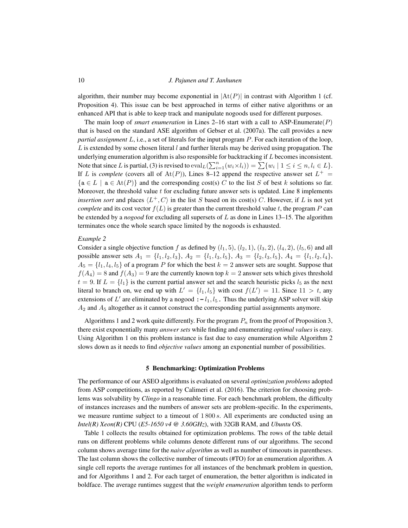algorithm, their number may become exponential in  $|\text{At}(P)|$  in contrast with Algorithm 1 (cf. Proposition [4\)](#page-7-2). This issue can be best approached in terms of either native algorithms or an enhanced API that is able to keep track and manipulate nogoods used for different purposes.

The main loop of *smart enumeration* in Lines [2–](#page-8-1)[16](#page-8-2) start with a call to ASP-Enumerate( $P$ ) that is based on the standard ASE algorithm of Gebser et al. [\(2007a\)](#page-15-8). The call provides a new *partial assignment* L, i.e., a set of literals for the input program P. For each iteration of the loop, L is extended by some chosen literal  $l$  and further literals may be derived using propagation. The underlying enumeration algorithm is also responsible for backtracking if L becomes inconsistent. Note that since L is partial, [\(3\)](#page-2-3) is revised to  $eval_L(\sum_{i=1}^n (w_i \times l_i)) = \sum \{w_i \mid 1 \le i \le n, l_i \in L\}.$ If L is *complete* (covers all of  $At(P)$ ), Lines [8–](#page-8-3)[12](#page-8-4) append the respective answer set  $L^+$  =  ${a \in L \mid a \in At(P)}$  and the corresponding cost(s) C to the list S of best k solutions so far. Moreover, the threshold value  $t$  for excluding future answer sets is updated. Line [8](#page-8-3) implements *insertion sort* and places  $\langle L^+, C \rangle$  in the list S based on its cost(s) C. However, if L is not yet *complete* and its cost vector  $f(L)$  is greater than the current threshold value t, the program P can be extended by a *nogood* for excluding all supersets of L as done in Lines [13–](#page-8-5)[15.](#page-8-6) The algorithm terminates once the whole search space limited by the nogoods is exhausted.

#### *Example 2*

Consider a single objective function f as defined by  $(l_1, 5)$ ,  $(l_2, 1)$ ,  $(l_3, 2)$ ,  $(l_4, 2)$ ,  $(l_5, 6)$  and all possible answer sets  $A_1 = \{l_1, l_2, l_3\}, A_2 = \{l_1, l_3, l_5\}, A_3 = \{l_2, l_3, l_5\}, A_4 = \{l_1, l_2, l_4\},$  $A_5 = \{l_1, l_4, l_5\}$  of a program P for which the best  $k = 2$  answer sets are sought. Suppose that  $f(A_4) = 8$  and  $f(A_3) = 9$  are the currently known top  $k = 2$  answer sets which gives threshold  $t = 9$ . If  $L = \{l_1\}$  is the current partial answer set and the search heuristic picks  $l_5$  as the next literal to branch on, we end up with  $L' = \{l_1, l_5\}$  with cost  $f(L') = 11$ . Since  $11 > t$ , any extensions of  $L'$  are eliminated by a nogood  $:- l_1, l_5$ . Thus the underlying ASP solver will skip  $A_2$  and  $A_5$  altogether as it cannot construct the corresponding partial assignments anymore.

Algorithms [1](#page-6-0) and [2](#page-8-0) work quite differently. For the program  $P_n$  from the proof of Proposition [3,](#page-5-1) there exist exponentially many *answer sets* while finding and enumerating *optimal values* is easy. Using Algorithm [1](#page-6-0) on this problem instance is fast due to easy enumeration while Algorithm [2](#page-8-0) slows down as it needs to find *objective values* among an exponential number of possibilities.

#### 5 Benchmarking: Optimization Problems

<span id="page-9-0"></span>The performance of our ASEO algorithms is evaluated on several *optimization problems* adopted from ASP competitions, as reported by Calimeri et al. [\(2016\)](#page-15-14). The criterion for choosing problems was solvability by *Clingo* in a reasonable time. For each benchmark problem, the difficulty of instances increases and the numbers of answer sets are problem-specific. In the experiments, we measure runtime subject to a timeout of  $1800 s$ . All experiments are conducted using an *Intel(R) Xeon(R)* CPU (*E5-1650 v4 @ 3.60GHz*), with 32GB RAM, and *Ubuntu* OS.

Table [1](#page-10-0) collects the results obtained for optimization problems. The rows of the table detail runs on different problems while columns denote different runs of our algorithms. The second column shows average time for the *naive algorithm* as well as number of timeouts in parentheses. The last column shows the collective number of timeouts (#TO) for an enumeration algorithm. A single cell reports the average runtimes for all instances of the benchmark problem in question, and for Algorithms [1](#page-6-0) and [2.](#page-8-0) For each target of enumeration, the better algorithm is indicated in boldface. The average runtimes suggest that the *weight enumeration* algorithm tends to perform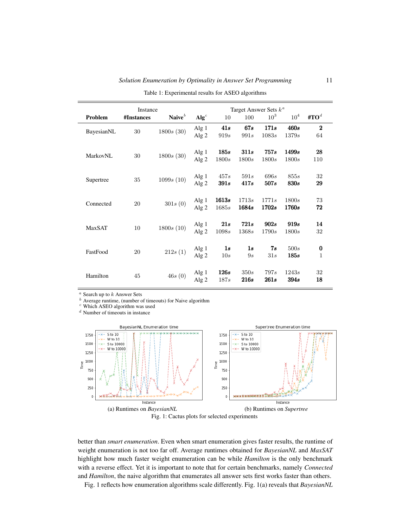<span id="page-10-0"></span>

|            | Instance   |           |                           |                     |                      | Target Answer Sets $k^a$ |                 |                          |  |
|------------|------------|-----------|---------------------------|---------------------|----------------------|--------------------------|-----------------|--------------------------|--|
| Problem    | #Instances | Naive $b$ | $\mathbf{Alg}^c$          | 10                  | 100                  | 10 <sup>3</sup>          | 10 <sup>4</sup> | #TO <sup>d</sup>         |  |
| BayesianNL | 30         | 1800s(30) | Alg 1<br>Alg <sub>2</sub> | 41s<br>919s         | 67s<br>991s          | 171s<br>1083s            | 460s<br>1379s   | $\bf{2}$<br>64           |  |
| MarkovNL   | 30         | 1800s(30) | Alg 1<br>Alg $2$          | 185s<br>1800s       | 311s<br>1800s        | 757s<br>1800s            | 1499s<br>1800s  | 28<br>110                |  |
| Supertree  | 35         | 1099s(10) | Alg 1<br>Alg $2$          | 457s<br>391s        | 591s<br>417s         | 696s<br>507s             | 855s<br>830s    | 32<br>29                 |  |
| Connected  | 20         | 301s(0)   | Alg 1<br>Alg $2$          | 1613s<br>1685s      | 1713s<br>1684s       | 1771s<br>1702s           | 1800s<br>1760s  | 73<br>72                 |  |
| MaxSAT     | 10         | 1800s(10) | Alg $1$<br>Alg $2$        | 21s<br>1098s        | <b>721s</b><br>1368s | 902s<br>1790s            | 919s<br>1800s   | 14<br>32                 |  |
| FastFood   | 20         | 212s(1)   | Alg 1<br>Alg $2$          | 1s<br>10s           | 1s<br>9s             | 7s<br>31s                | 500s<br>185s    | $\bf{0}$<br>$\mathbf{1}$ |  |
| Hamilton   | 45         | 46s(0)    | Alg 1<br>Alg $2$          | <b>126s</b><br>187s | 350s<br>216s         | 797s<br>261s             | 1243s<br>394s   | 32<br>18                 |  |

Table 1: Experimental results for ASEO algorithms

<span id="page-10-1"></span> $a$  Search up to  $k$  Answer Sets

<span id="page-10-2"></span> $<sup>b</sup>$  Average runtime, (number of timeouts) for Naive algorithm</sup>

<span id="page-10-3"></span><sup>c</sup> Which ASEO algorithm was used

<span id="page-10-4"></span> $\real^d$  Number of timeouts in instance

<span id="page-10-5"></span>



better than *smart enumeration*. Even when smart enumeration gives faster results, the runtime of weight enumeration is not too far off. Average runtimes obtained for *BayesianNL* and *MaxSAT* highlight how much faster weight enumeration can be while *Hamilton* is the only benchmark with a reverse effect. Yet it is important to note that for certain benchmarks, namely *Connected* and *Hamilton*, the naive algorithm that enumerates all answer sets first works faster than others.

Fig. [1](#page-10-5) reflects how enumeration algorithms scale differently. Fig. [1\(](#page-10-5)a) reveals that *BayesianNL*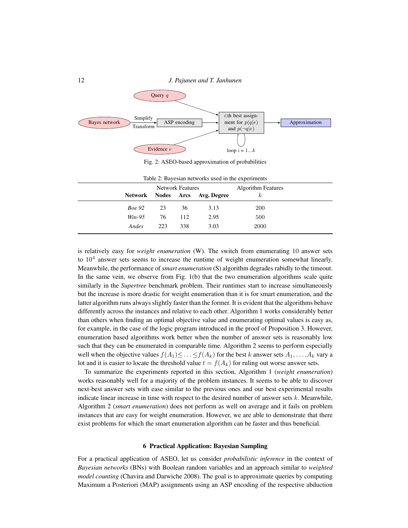<span id="page-11-1"></span>

Fig. 2: ASEO-based approximation of probabilities

<span id="page-11-2"></span>

|               |     | <b>Network Features</b> |                                | <b>Algorithm Features</b> |  |
|---------------|-----|-------------------------|--------------------------------|---------------------------|--|
|               |     |                         | Network Nodes Arcs Avg. Degree | $_{\kappa}$               |  |
| <i>Boe</i> 92 | 23  | 36                      | 3.13                           | <b>200</b>                |  |
| Win-95        | 76  | 112                     | 2.95                           | 500                       |  |
| Andes         | 223 | 338                     | 3.03                           | 2000                      |  |

Table 2: Bayesian networks used in the experiments

is relatively easy for *weight enumeration* (W). The switch from enumerating 10 answer sets to  $10<sup>4</sup>$  answer sets seems to increase the runtime of weight enumeration somewhat linearly. Meanwhile, the performance of *smart enumeration* (S) algorithm degrades rabidly to the timeout. In the same vein, we observe from Fig. [1\(](#page-10-5)b) that the two enumeration algorithms scale quite similarly in the *Supertree* benchmark problem. Their runtimes start to increase simultaneously but the increase is more drastic for weight enumeration than it is for smart enumeration, and the latter algorithm runs always slightly faster than the former. It is evident that the algorithms behave differently across the instances and relative to each other. Algorithm [1](#page-6-0) works considerably better than others when finding an optimal objective value and enumerating optimal values is easy as, for example, in the case of the logic program introduced in the proof of Proposition [3.](#page-5-1) However, enumeration based algorithms work better when the number of answer sets is reasonably low such that they can be enumerated in comparable time. Algorithm [2](#page-8-0) seems to perform especially well when the objective values  $f(A_1) \leq \ldots \leq f(A_k)$  for the best k answer sets  $A_1, \ldots, A_k$  vary a lot and it is easier to locate the threshold value  $t = f(A_k)$  for ruling out worse answer sets.

To summarize the experiments reported in this section, Algorithm [1](#page-6-0) (*weight enumeration*) works reasonably well for a majority of the problem instances. It seems to be able to discover next-best answer sets with ease similar to the previous ones and our best experimental results indicate linear increase in time with respect to the desired number of answer sets  $k$ . Meanwhile, Algorithm [2](#page-8-0) (*smart enumeration*) does not perform as well on average and it fails on problem instances that are easy for weight enumeration. However, we are able to demonstrate that there exist problems for which the smart enumeration algorithm can be faster and thus beneficial.

## 6 Practical Application: Bayesian Sampling

<span id="page-11-0"></span>For a practical application of ASEO, let us consider *probabilistic inference* in the context of *Bayesian networks* (BNs) with Boolean random variables and an approach similar to *weighted model counting* [\(Chavira and Darwiche 2008\)](#page-15-17). The goal is to approximate queries by computing Maximum a Posteriori (MAP) assignments using an ASP encoding of the respective abduction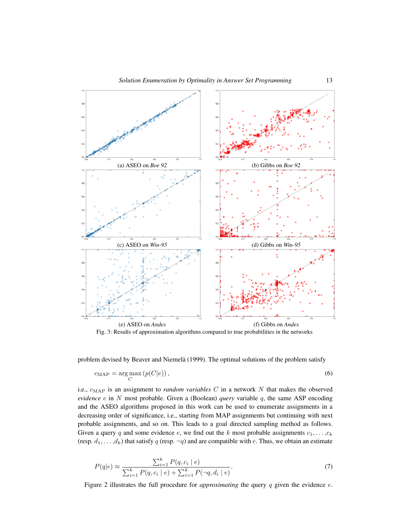<span id="page-12-1"></span>

Fig. 3: Results of approximation algorithms compared to true probabilities in the networks

problem devised by Beaver and Niemelä [\(1999\)](#page-14-3). The optimal solutions of the problem satisfy

$$
c_{\text{MAP}} = \underset{C}{\text{arg max}} \left( p(C|e) \right),\tag{6}
$$

i.e.,  $c_{\text{MAP}}$  is an assignment to *random variables* C in a network N that makes the observed *evidence* e in N most probable. Given a (Boolean) *query* variable q, the same ASP encoding and the ASEO algorithms proposed in this work can be used to enumerate assignments in a decreasing order of significance, i.e., starting from MAP assignments but continuing with next probable assignments, and so on. This leads to a goal directed sampling method as follows. Given a query q and some evidence e, we find out the k most probable assignments  $c_1, \ldots, c_k$ (resp.  $d_1, \ldots, d_k$ ) that satisfy q (resp.  $\neg q$ ) and are compatible with e. Thus, we obtain an estimate

<span id="page-12-0"></span>
$$
P(q|e) \approx \frac{\sum_{i=1}^{k} P(q, c_i | e)}{\sum_{i=1}^{k} P(q, c_i | e) + \sum_{i=1}^{k} P(\neg q, d_i | e)}.
$$
\n(7)

Figure [2](#page-11-1) illustrates the full procedure for *approximating* the query q given the evidence e.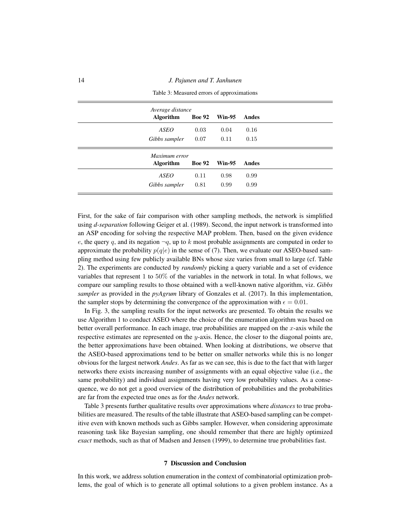<span id="page-13-1"></span>14 *J. Pajunen and T. Janhunen*

| Average distance |               |               |       |
|------------------|---------------|---------------|-------|
| <b>Algorithm</b> | <b>Boe 92</b> | Win-95        | Andes |
| <b>ASEO</b>      | 0.03          | 0.04          | 0.16  |
| Gibbs sampler    | 0.07          | 0.11          | 0.15  |
| Maximum error    |               |               |       |
| <b>Algorithm</b> | <b>Boe 92</b> | <b>Win-95</b> | Andes |
| <b>ASEO</b>      | 0.11          | 0.98          | 0.99  |
| Gibbs sampler    | 0.81          | 0.99          | 0.99  |

Table 3: Measured errors of approximations

First, for the sake of fair comparison with other sampling methods, the network is simplified using *d-separation* following Geiger et al. [\(1989\)](#page-15-18). Second, the input network is transformed into an ASP encoding for solving the respective MAP problem. Then, based on the given evidence e, the query q, and its negation  $\neg q$ , up to k most probable assignments are computed in order to approximate the probability  $p(q|e)$  in the sense of [\(7\)](#page-12-0). Then, we evaluate our ASEO-based sampling method using few publicly available BNs whose size varies from small to large (cf. Table [2\)](#page-11-2). The experiments are conducted by *randomly* picking a query variable and a set of evidence variables that represent 1 to 50% of the variables in the network in total. In what follows, we compare our sampling results to those obtained with a well-known native algorithm, viz. *Gibbs sampler* as provided in the *pyAgrum* library of Gonzales et al. [\(2017\)](#page-15-19). In this implementation, the sampler stops by determining the convergence of the approximation with  $\epsilon = 0.01$ .

In Fig. [3,](#page-12-1) the sampling results for the input networks are presented. To obtain the results we use Algorithm [1](#page-6-0) to conduct ASEO where the choice of the enumeration algorithm was based on better overall performance. In each image, true probabilities are mapped on the  $x$ -axis while the respective estimates are represented on the y-axis. Hence, the closer to the diagonal points are, the better approximations have been obtained. When looking at distributions, we observe that the ASEO-based approximations tend to be better on smaller networks while this is no longer obvious for the largest network *Andes*. As far as we can see, this is due to the fact that with larger networks there exists increasing number of assignments with an equal objective value (i.e., the same probability) and individual assignments having very low probability values. As a consequence, we do not get a good overview of the distribution of probabilities and the probabilities are far from the expected true ones as for the *Andes* network.

Table [3](#page-13-1) presents further qualitative results over approximations where *distances* to true probabilities are measured. The results of the table illustrate that ASEO-based sampling can be competitive even with known methods such as Gibbs sampler. However, when considering approximate reasoning task like Bayesian sampling, one should remember that there are highly optimized *exact* methods, such as that of Madsen and Jensen [\(1999\)](#page-15-20), to determine true probabilities fast.

#### 7 Discussion and Conclusion

<span id="page-13-0"></span>In this work, we address solution enumeration in the context of combinatorial optimization problems, the goal of which is to generate all optimal solutions to a given problem instance. As a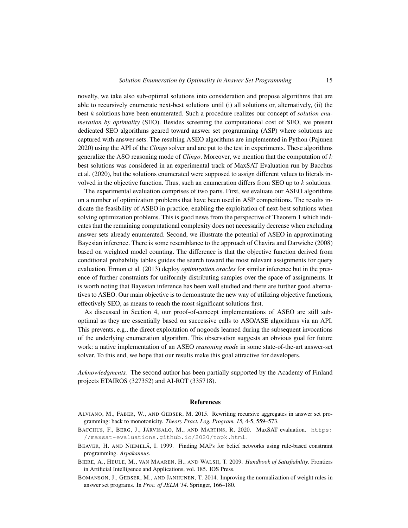novelty, we take also sub-optimal solutions into consideration and propose algorithms that are able to recursively enumerate next-best solutions until (i) all solutions or, alternatively, (ii) the best k solutions have been enumerated. Such a procedure realizes our concept of *solution enumeration by optimality* (SEO). Besides screening the computational cost of SEO, we present dedicated SEO algorithms geared toward answer set programming (ASP) where solutions are captured with answer sets. The resulting ASEO algorithms are implemented in Python [\(Pajunen](#page-15-21) [2020\)](#page-15-21) using the API of the *Clingo* solver and are put to the test in experiments. These algorithms generalize the ASO reasoning mode of *Clingo*. Moreover, we mention that the computation of k best solutions was considered in an experimental track of MaxSAT Evaluation run by Bacchus et al. [\(2020\)](#page-14-4), but the solutions enumerated were supposed to assign different values to literals involved in the objective function. Thus, such an enumeration differs from SEO up to  $k$  solutions.

The experimental evaluation comprises of two parts. First, we evaluate our ASEO algorithms on a number of optimization problems that have been used in ASP competitions. The results indicate the feasibility of ASEO in practice, enabling the exploitation of next-best solutions when solving optimization problems. This is good news from the perspective of Theorem [1](#page-4-0) which indicates that the remaining computational complexity does not necessarily decrease when excluding answer sets already enumerated. Second, we illustrate the potential of ASEO in approximating Bayesian inference. There is some resemblance to the approach of Chavira and Darwiche [\(2008\)](#page-15-17) based on weighted model counting. The difference is that the objective function derived from conditional probability tables guides the search toward the most relevant assignments for query evaluation. Ermon et al. [\(2013\)](#page-15-22) deploy *optimization oracles* for similar inference but in the presence of further constraints for uniformly distributing samples over the space of assignments. It is worth noting that Bayesian inference has been well studied and there are further good alternatives to ASEO. Our main objective is to demonstrate the new way of utilizing objective functions, effectively SEO, as means to reach the most significant solutions first.

As discussed in Section [4,](#page-5-0) our proof-of-concept implementations of ASEO are still suboptimal as they are essentially based on successive calls to ASO/ASE algorithms via an API. This prevents, e.g., the direct exploitation of nogoods learned during the subsequent invocations of the underlying enumeration algorithm. This observation suggests an obvious goal for future work: a native implementation of an ASEO *reasoning mode* in some state-of-the-art answer-set solver. To this end, we hope that our results make this goal attractive for developers.

*Acknowledgments.* The second author has been partially supported by the Academy of Finland projects ETAIROS (327352) and AI-ROT (335718).

#### References

- <span id="page-14-2"></span>ALVIANO, M., FABER, W., AND GEBSER, M. 2015. Rewriting recursive aggregates in answer set programming: back to monotonicity. *Theory Pract. Log. Program. 15,* 4-5, 559–573.
- <span id="page-14-4"></span>BACCHUS, F., BERG, J., JÄRVISALO, M., AND MARTINS, R. 2020. MaxSAT evaluation. [https:](https://maxsat-evaluations.github.io/2020/topk.html) [//maxsat-evaluations.github.io/2020/topk.html](https://maxsat-evaluations.github.io/2020/topk.html).
- <span id="page-14-3"></span>BEAVER, H. AND NIEMELÄ, I. 1999. Finding MAPs for belief networks using rule-based constraint programming. *Arpakannus*.
- <span id="page-14-0"></span>BIERE, A., HEULE, M., VAN MAAREN, H., AND WALSH, T. 2009. *Handbook of Satisfiability*. Frontiers in Artificial Intelligence and Applications, vol. 185. IOS Press.
- <span id="page-14-1"></span>BOMANSON, J., GEBSER, M., AND JANHUNEN, T. 2014. Improving the normalization of weight rules in answer set programs. In *Proc. of JELIA'14*. Springer, 166–180.